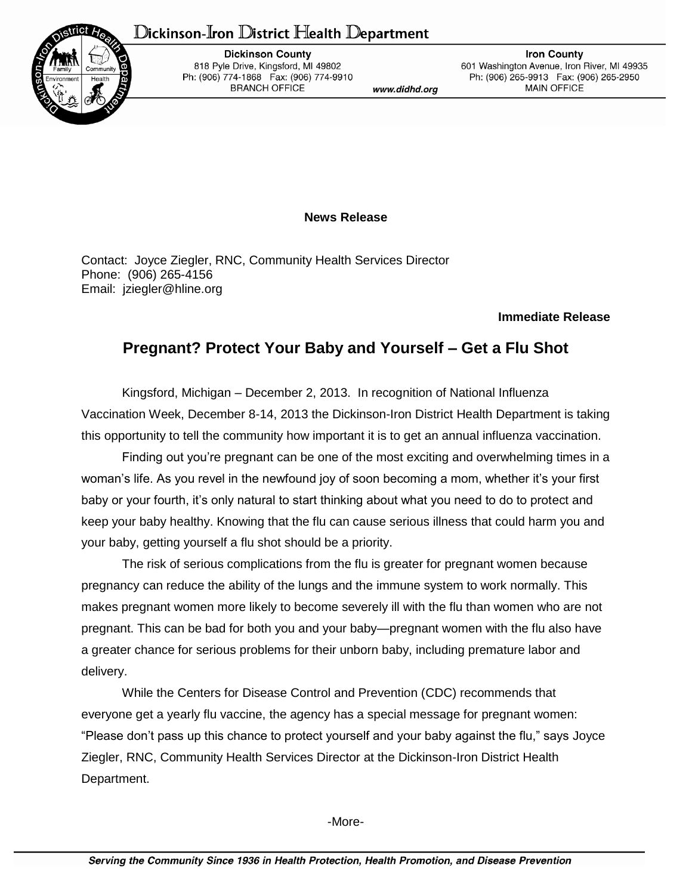## Dickinson-Iron District Health Department



**Dickinson County** 818 Pyle Drive, Kingsford, MI 49802 Ph: (906) 774-1868 Fax: (906) 774-9910 **BRANCH OFFICE** 

www.didhd.org

**Iron County** 601 Washington Avenue, Iron River, MI 49935 Ph: (906) 265-9913 Fax: (906) 265-2950 **MAIN OFFICE** 

## **News Release**

Contact: Joyce Ziegler, RNC, Community Health Services Director Phone: (906) 265-4156 Email: jziegler@hline.org

## **Immediate Release**

## **Pregnant? Protect Your Baby and Yourself – Get a Flu Shot**

Kingsford, Michigan – December 2, 2013. In recognition of National Influenza Vaccination Week, December 8-14, 2013 the Dickinson-Iron District Health Department is taking this opportunity to tell the community how important it is to get an annual influenza vaccination.

Finding out you're pregnant can be one of the most exciting and overwhelming times in a woman's life. As you revel in the newfound joy of soon becoming a mom, whether it's your first baby or your fourth, it's only natural to start thinking about what you need to do to protect and keep your baby healthy. Knowing that the flu can cause serious illness that could harm you and your baby, getting yourself a flu shot should be a priority.

The risk of serious complications from the flu is greater for pregnant women because pregnancy can reduce the ability of the lungs and the immune system to work normally. This makes pregnant women more likely to become severely ill with the flu than women who are not pregnant. This can be bad for both you and your baby—pregnant women with the flu also have a greater chance for serious problems for their unborn baby, including premature labor and delivery.

While the Centers for Disease Control and Prevention (CDC) recommends that everyone get a yearly flu vaccine, the agency has a special message for pregnant women: "Please don't pass up this chance to protect yourself and your baby against the flu," says Joyce Ziegler, RNC, Community Health Services Director at the Dickinson-Iron District Health Department.

-More-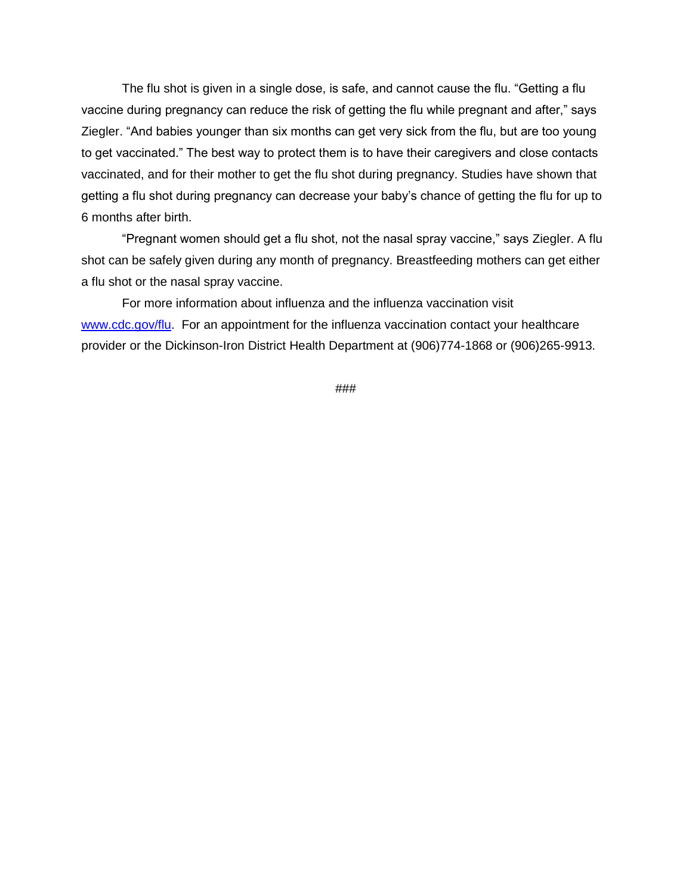The flu shot is given in a single dose, is safe, and cannot cause the flu. "Getting a flu vaccine during pregnancy can reduce the risk of getting the flu while pregnant and after," says Ziegler. "And babies younger than six months can get very sick from the flu, but are too young to get vaccinated." The best way to protect them is to have their caregivers and close contacts vaccinated, and for their mother to get the flu shot during pregnancy. Studies have shown that getting a flu shot during pregnancy can decrease your baby's chance of getting the flu for up to 6 months after birth.

"Pregnant women should get a flu shot, not the nasal spray vaccine," says Ziegler. A flu shot can be safely given during any month of pregnancy. Breastfeeding mothers can get either a flu shot or the nasal spray vaccine.

For more information about influenza and the influenza vaccination visit [www.cdc.gov/flu.](http://www.cdc.gov/flu) For an appointment for the influenza vaccination contact your healthcare provider or the Dickinson-Iron District Health Department at (906)774-1868 or (906)265-9913.

###